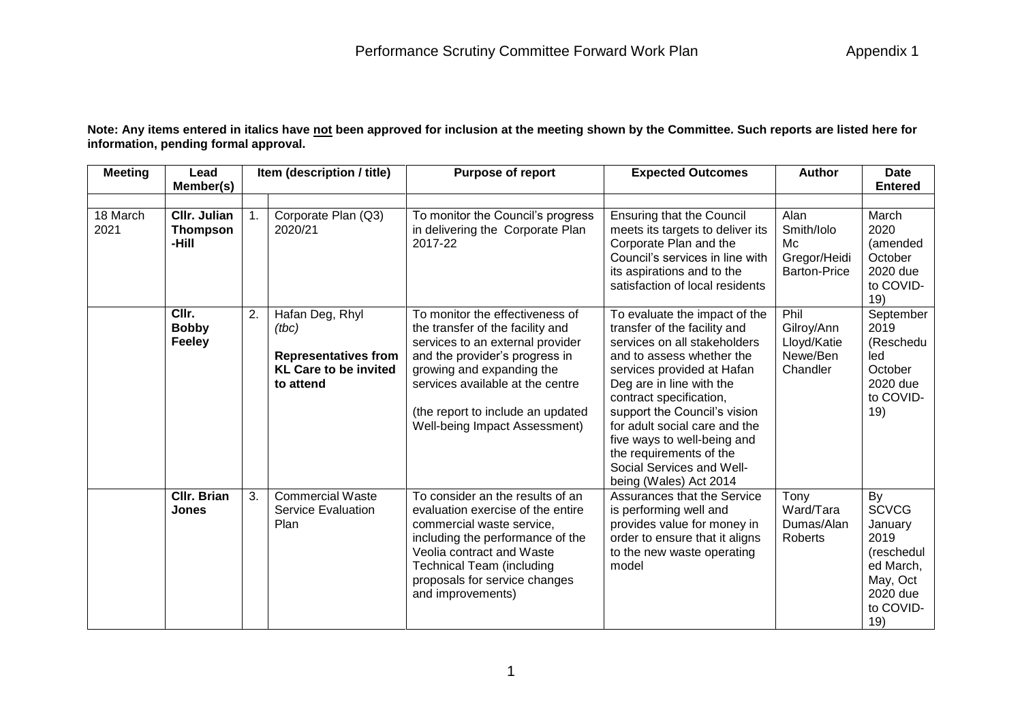**Note: Any items entered in italics have not been approved for inclusion at the meeting shown by the Committee. Such reports are listed here for information, pending formal approval.**

| <b>Meeting</b>   | Lead                                     |    | Item (description / title)                                                                           | <b>Purpose of report</b>                                                                                                                                                                                                                                                         | <b>Expected Outcomes</b>                                                                                                                                                                                                                                                                                                                                                                          | <b>Author</b>                                                   | Date                                                                                                         |
|------------------|------------------------------------------|----|------------------------------------------------------------------------------------------------------|----------------------------------------------------------------------------------------------------------------------------------------------------------------------------------------------------------------------------------------------------------------------------------|---------------------------------------------------------------------------------------------------------------------------------------------------------------------------------------------------------------------------------------------------------------------------------------------------------------------------------------------------------------------------------------------------|-----------------------------------------------------------------|--------------------------------------------------------------------------------------------------------------|
|                  | Member(s)                                |    |                                                                                                      |                                                                                                                                                                                                                                                                                  |                                                                                                                                                                                                                                                                                                                                                                                                   |                                                                 | <b>Entered</b>                                                                                               |
| 18 March<br>2021 | CIIr. Julian<br><b>Thompson</b><br>-Hill |    | Corporate Plan (Q3)<br>2020/21                                                                       | To monitor the Council's progress<br>in delivering the Corporate Plan<br>2017-22                                                                                                                                                                                                 | <b>Ensuring that the Council</b><br>meets its targets to deliver its<br>Corporate Plan and the<br>Council's services in line with<br>its aspirations and to the<br>satisfaction of local residents                                                                                                                                                                                                | Alan<br>Smith/Iolo<br>Mc<br>Gregor/Heidi<br><b>Barton-Price</b> | March<br>2020<br>(amended<br>October<br>2020 due<br>to COVID-<br>19)                                         |
|                  | CIIr.<br><b>Bobby</b><br><b>Feeley</b>   | 2. | Hafan Deg, Rhyl<br>(tbc)<br><b>Representatives from</b><br><b>KL Care to be invited</b><br>to attend | To monitor the effectiveness of<br>the transfer of the facility and<br>services to an external provider<br>and the provider's progress in<br>growing and expanding the<br>services available at the centre<br>(the report to include an updated<br>Well-being Impact Assessment) | To evaluate the impact of the<br>transfer of the facility and<br>services on all stakeholders<br>and to assess whether the<br>services provided at Hafan<br>Deg are in line with the<br>contract specification,<br>support the Council's vision<br>for adult social care and the<br>five ways to well-being and<br>the requirements of the<br>Social Services and Well-<br>being (Wales) Act 2014 | Phil<br>Gilroy/Ann<br>Lloyd/Katie<br>Newe/Ben<br>Chandler       | September<br>2019<br>(Reschedu<br>led<br>October<br>2020 due<br>to COVID-<br>19)                             |
|                  | <b>CIIr. Brian</b><br><b>Jones</b>       | 3. | <b>Commercial Waste</b><br>Service Evaluation<br>Plan                                                | To consider an the results of an<br>evaluation exercise of the entire<br>commercial waste service,<br>including the performance of the<br>Veolia contract and Waste<br><b>Technical Team (including</b><br>proposals for service changes<br>and improvements)                    | Assurances that the Service<br>is performing well and<br>provides value for money in<br>order to ensure that it aligns<br>to the new waste operating<br>model                                                                                                                                                                                                                                     | Tony<br>Ward/Tara<br>Dumas/Alan<br>Roberts                      | By<br><b>SCVCG</b><br>January<br>2019<br>(reschedul<br>ed March,<br>May, Oct<br>2020 due<br>to COVID-<br>19) |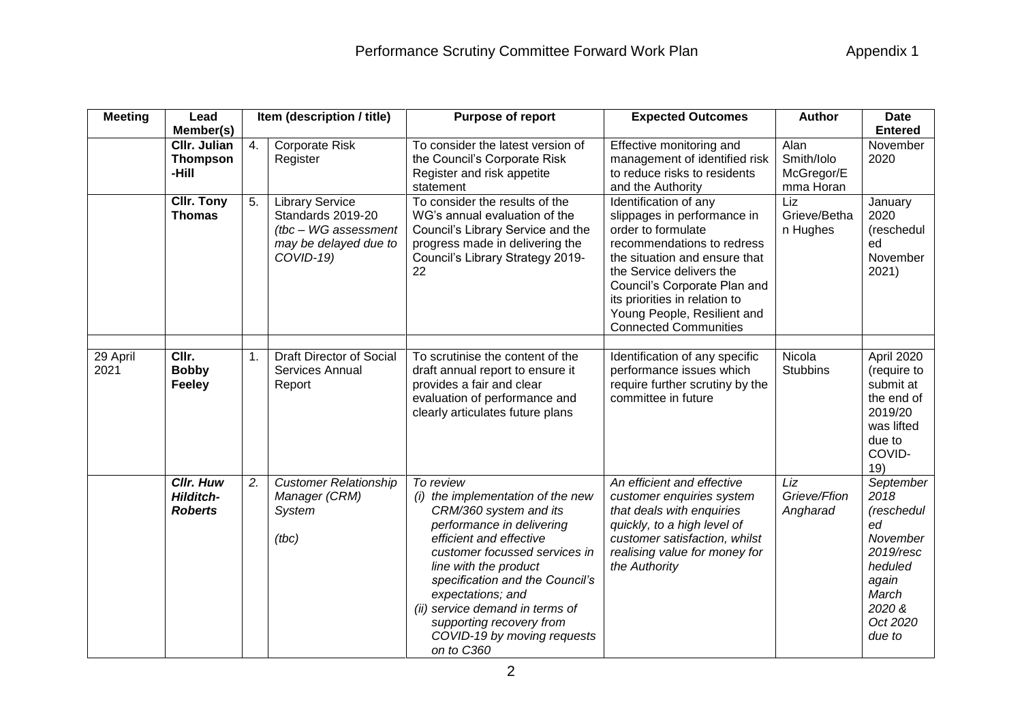| <b>Meeting</b>   | Lead                                                         |    | Item (description / title)                                                                                | <b>Purpose of report</b>                                                                                                                                                                                                                                                                                                                                       | <b>Expected Outcomes</b>                                                                                                                                                                                                                                                                              | <b>Author</b>                                 | <b>Date</b>                                                                                                                 |
|------------------|--------------------------------------------------------------|----|-----------------------------------------------------------------------------------------------------------|----------------------------------------------------------------------------------------------------------------------------------------------------------------------------------------------------------------------------------------------------------------------------------------------------------------------------------------------------------------|-------------------------------------------------------------------------------------------------------------------------------------------------------------------------------------------------------------------------------------------------------------------------------------------------------|-----------------------------------------------|-----------------------------------------------------------------------------------------------------------------------------|
|                  | Member(s)<br><b>CIIr. Julian</b><br><b>Thompson</b><br>-Hill | 4. | Corporate Risk<br>Register                                                                                | To consider the latest version of<br>the Council's Corporate Risk<br>Register and risk appetite<br>statement                                                                                                                                                                                                                                                   | Effective monitoring and<br>management of identified risk<br>to reduce risks to residents<br>and the Authority                                                                                                                                                                                        | Alan<br>Smith/Iolo<br>McGregor/E<br>mma Horan | <b>Entered</b><br>November<br>2020                                                                                          |
|                  | <b>CIIr. Tony</b><br><b>Thomas</b>                           | 5. | <b>Library Service</b><br>Standards 2019-20<br>(tbc - WG assessment<br>may be delayed due to<br>COVID-19) | To consider the results of the<br>WG's annual evaluation of the<br>Council's Library Service and the<br>progress made in delivering the<br>Council's Library Strategy 2019-<br>22                                                                                                                                                                              | Identification of any<br>slippages in performance in<br>order to formulate<br>recommendations to redress<br>the situation and ensure that<br>the Service delivers the<br>Council's Corporate Plan and<br>its priorities in relation to<br>Young People, Resilient and<br><b>Connected Communities</b> | Liz<br>Grieve/Betha<br>n Hughes               | January<br>2020<br>(reschedul<br>ed<br>November<br>2021)                                                                    |
| 29 April<br>2021 | CIIr.<br><b>Bobby</b><br>Feeley                              | 1. | <b>Draft Director of Social</b><br>Services Annual<br>Report                                              | To scrutinise the content of the<br>draft annual report to ensure it<br>provides a fair and clear<br>evaluation of performance and<br>clearly articulates future plans                                                                                                                                                                                         | Identification of any specific<br>performance issues which<br>require further scrutiny by the<br>committee in future                                                                                                                                                                                  | Nicola<br><b>Stubbins</b>                     | April 2020<br>(require to<br>submit at<br>the end of<br>2019/20<br>was lifted<br>due to<br>COVID-<br>19)                    |
|                  | <b>Cllr. Huw</b><br><b>Hilditch-</b><br><b>Roberts</b>       | 2. | <b>Customer Relationship</b><br>Manager (CRM)<br>System<br>(tbc)                                          | To review<br>(i) the implementation of the new<br>CRM/360 system and its<br>performance in delivering<br>efficient and effective<br>customer focussed services in<br>line with the product<br>specification and the Council's<br>expectations; and<br>(ii) service demand in terms of<br>supporting recovery from<br>COVID-19 by moving requests<br>on to C360 | An efficient and effective<br>customer enquiries system<br>that deals with enquiries<br>quickly, to a high level of<br>customer satisfaction, whilst<br>realising value for money for<br>the Authority                                                                                                | Liz<br>Grieve/Ffion<br>Angharad               | September<br>2018<br>(reschedul<br>ed<br>November<br>2019/resc<br>heduled<br>again<br>March<br>2020 &<br>Oct 2020<br>due to |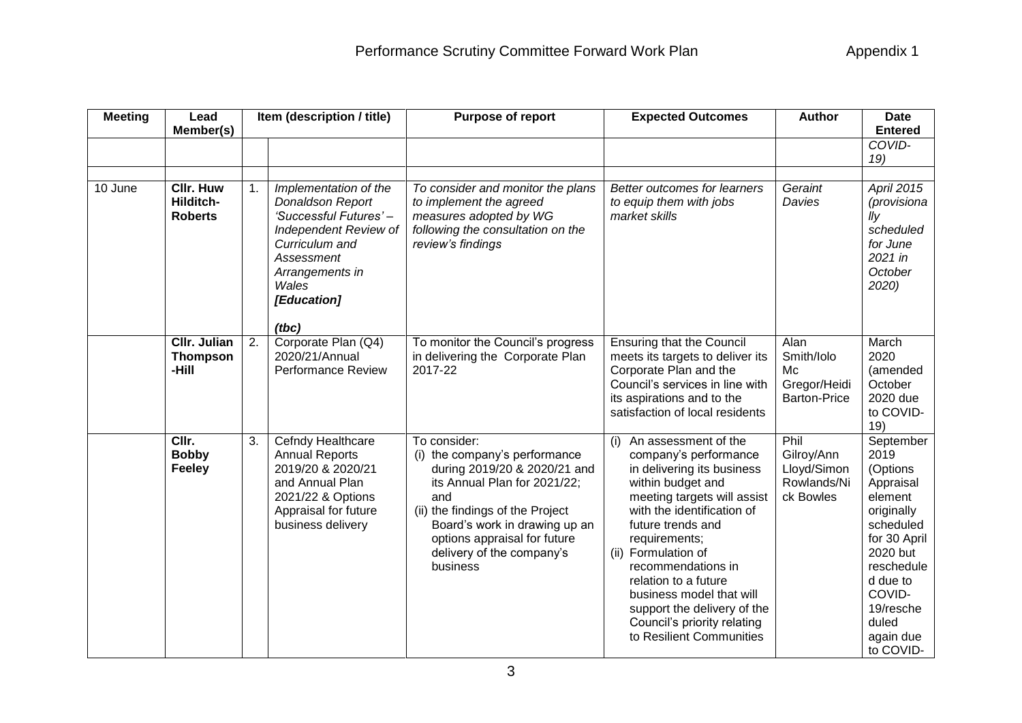| <b>Meeting</b> | Lead<br>Member(s)                               |    | Item (description / title)                                                                                                                                                      | <b>Purpose of report</b>                                                                                                                                                                                                                                           | <b>Expected Outcomes</b>                                                                                                                                                                                                                                                                                                                                                                                 | <b>Author</b>                                                   | <b>Date</b><br><b>Entered</b>                                                                                                                                                                    |
|----------------|-------------------------------------------------|----|---------------------------------------------------------------------------------------------------------------------------------------------------------------------------------|--------------------------------------------------------------------------------------------------------------------------------------------------------------------------------------------------------------------------------------------------------------------|----------------------------------------------------------------------------------------------------------------------------------------------------------------------------------------------------------------------------------------------------------------------------------------------------------------------------------------------------------------------------------------------------------|-----------------------------------------------------------------|--------------------------------------------------------------------------------------------------------------------------------------------------------------------------------------------------|
|                |                                                 |    |                                                                                                                                                                                 |                                                                                                                                                                                                                                                                    |                                                                                                                                                                                                                                                                                                                                                                                                          |                                                                 | COVID-<br>19)                                                                                                                                                                                    |
| 10 June        | <b>CIIr. Huw</b><br>Hilditch-<br><b>Roberts</b> | 1. | Implementation of the<br>Donaldson Report<br>'Successful Futures'-<br>Independent Review of<br>Curriculum and<br>Assessment<br>Arrangements in<br>Wales<br>[Education]<br>(tbc) | To consider and monitor the plans<br>to implement the agreed<br>measures adopted by WG<br>following the consultation on the<br>review's findings                                                                                                                   | Better outcomes for learners<br>to equip them with jobs<br>market skills                                                                                                                                                                                                                                                                                                                                 | Geraint<br>Davies                                               | April 2015<br>(provisiona<br>lly<br>scheduled<br>for June<br>$2021$ in<br>October<br>2020)                                                                                                       |
|                | <b>CIIr. Julian</b><br><b>Thompson</b><br>-Hill | 2. | Corporate Plan (Q4)<br>2020/21/Annual<br><b>Performance Review</b>                                                                                                              | To monitor the Council's progress<br>in delivering the Corporate Plan<br>2017-22                                                                                                                                                                                   | <b>Ensuring that the Council</b><br>meets its targets to deliver its<br>Corporate Plan and the<br>Council's services in line with<br>its aspirations and to the<br>satisfaction of local residents                                                                                                                                                                                                       | Alan<br>Smith/Iolo<br>Mc<br>Gregor/Heidi<br><b>Barton-Price</b> | March<br>2020<br>(amended<br>October<br>2020 due<br>to COVID-<br>19)                                                                                                                             |
|                | CIIr.<br><b>Bobby</b><br>Feeley                 | 3. | Cefndy Healthcare<br><b>Annual Reports</b><br>2019/20 & 2020/21<br>and Annual Plan<br>2021/22 & Options<br>Appraisal for future<br>business delivery                            | To consider:<br>(i) the company's performance<br>during 2019/20 & 2020/21 and<br>its Annual Plan for 2021/22;<br>and<br>(ii) the findings of the Project<br>Board's work in drawing up an<br>options appraisal for future<br>delivery of the company's<br>business | An assessment of the<br>(i)<br>company's performance<br>in delivering its business<br>within budget and<br>meeting targets will assist<br>with the identification of<br>future trends and<br>requirements;<br>Formulation of<br>(ii)<br>recommendations in<br>relation to a future<br>business model that will<br>support the delivery of the<br>Council's priority relating<br>to Resilient Communities | Phil<br>Gilroy/Ann<br>Lloyd/Simon<br>Rowlands/Ni<br>ck Bowles   | September<br>2019<br>(Options<br>Appraisal<br>element<br>originally<br>scheduled<br>for 30 April<br>2020 but<br>reschedule<br>d due to<br>COVID-<br>19/resche<br>duled<br>again due<br>to COVID- |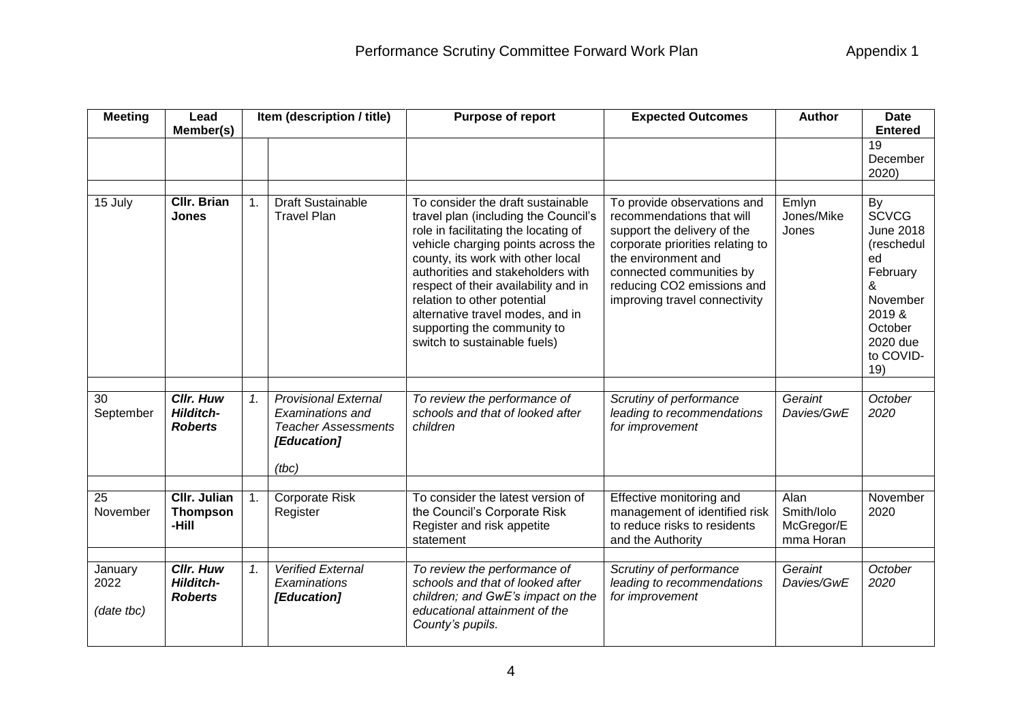| <b>Meeting</b>                | Lead<br>Member(s)                                      |    | Item (description / title)                                                                            | <b>Purpose of report</b>                                                                                                                                                                                                                                                                                                                                                                                    | <b>Expected Outcomes</b>                                                                                                                                                                                                                      | <b>Author</b>                                 | <b>Date</b><br><b>Entered</b>                                                                                                                |
|-------------------------------|--------------------------------------------------------|----|-------------------------------------------------------------------------------------------------------|-------------------------------------------------------------------------------------------------------------------------------------------------------------------------------------------------------------------------------------------------------------------------------------------------------------------------------------------------------------------------------------------------------------|-----------------------------------------------------------------------------------------------------------------------------------------------------------------------------------------------------------------------------------------------|-----------------------------------------------|----------------------------------------------------------------------------------------------------------------------------------------------|
|                               |                                                        |    |                                                                                                       |                                                                                                                                                                                                                                                                                                                                                                                                             |                                                                                                                                                                                                                                               |                                               | 19<br>December<br>2020)                                                                                                                      |
| 15 July                       | Cllr. Brian<br>Jones                                   | 1. | <b>Draft Sustainable</b><br><b>Travel Plan</b>                                                        | To consider the draft sustainable<br>travel plan (including the Council's<br>role in facilitating the locating of<br>vehicle charging points across the<br>county, its work with other local<br>authorities and stakeholders with<br>respect of their availability and in<br>relation to other potential<br>alternative travel modes, and in<br>supporting the community to<br>switch to sustainable fuels) | To provide observations and<br>recommendations that will<br>support the delivery of the<br>corporate priorities relating to<br>the environment and<br>connected communities by<br>reducing CO2 emissions and<br>improving travel connectivity | Emlyn<br>Jones/Mike<br>Jones                  | By<br><b>SCVCG</b><br><b>June 2018</b><br>(reschedul<br>ed<br>February<br>&<br>November<br>2019 &<br>October<br>2020 due<br>to COVID-<br>19) |
| 30<br>September               | <b>Cllr. Huw</b><br><b>Hilditch-</b><br><b>Roberts</b> | 1. | <b>Provisional External</b><br>Examinations and<br><b>Teacher Assessments</b><br>[Education]<br>(tbc) | To review the performance of<br>schools and that of looked after<br>children                                                                                                                                                                                                                                                                                                                                | Scrutiny of performance<br>leading to recommendations<br>for improvement                                                                                                                                                                      | Geraint<br>Davies/GwE                         | October<br>2020                                                                                                                              |
| 25<br>November                | <b>CIIr. Julian</b><br><b>Thompson</b><br>-Hill        | 1. | Corporate Risk<br>Register                                                                            | To consider the latest version of<br>the Council's Corporate Risk<br>Register and risk appetite<br>statement                                                                                                                                                                                                                                                                                                | Effective monitoring and<br>management of identified risk<br>to reduce risks to residents<br>and the Authority                                                                                                                                | Alan<br>Smith/Iolo<br>McGregor/E<br>mma Horan | November<br>2020                                                                                                                             |
| January<br>2022<br>(date tbc) | <b>Cllr. Huw</b><br><b>Hilditch-</b><br><b>Roberts</b> | 1. | <b>Verified External</b><br>Examinations<br>[Education]                                               | To review the performance of<br>schools and that of looked after<br>children; and GwE's impact on the<br>educational attainment of the<br>County's pupils.                                                                                                                                                                                                                                                  | Scrutiny of performance<br>leading to recommendations<br>for improvement                                                                                                                                                                      | Geraint<br>Davies/GwE                         | October<br>2020                                                                                                                              |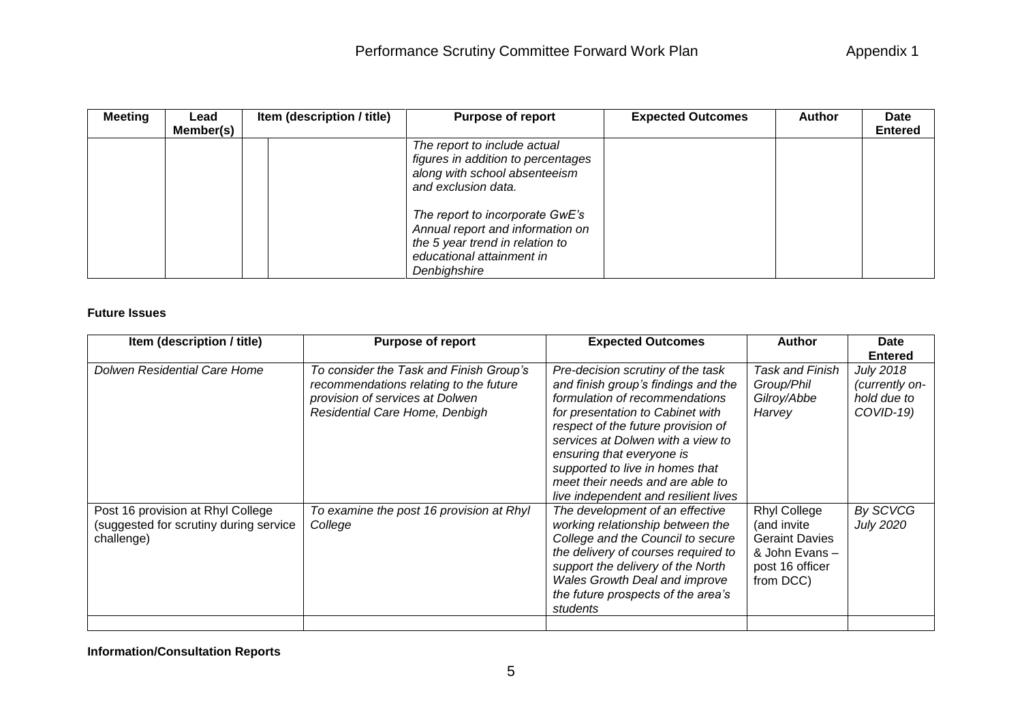| <b>Meeting</b> | Lead      | Item (description / title) | <b>Purpose of report</b>                                                                                                                            | <b>Expected Outcomes</b> | <b>Author</b> | <b>Date</b>    |
|----------------|-----------|----------------------------|-----------------------------------------------------------------------------------------------------------------------------------------------------|--------------------------|---------------|----------------|
|                | Member(s) |                            |                                                                                                                                                     |                          |               | <b>Entered</b> |
|                |           |                            | The report to include actual<br>figures in addition to percentages<br>along with school absenteeism<br>and exclusion data.                          |                          |               |                |
|                |           |                            | The report to incorporate GwE's<br>Annual report and information on<br>the 5 year trend in relation to<br>educational attainment in<br>Denbighshire |                          |               |                |

## **Future Issues**

| Item (description / title)                                                                | <b>Purpose of report</b>                                                                                                                               | <b>Expected Outcomes</b>                                                                                                                                                                                                                                                                                                                                              | <b>Author</b>                                                                                                | <b>Date</b>                                                    |
|-------------------------------------------------------------------------------------------|--------------------------------------------------------------------------------------------------------------------------------------------------------|-----------------------------------------------------------------------------------------------------------------------------------------------------------------------------------------------------------------------------------------------------------------------------------------------------------------------------------------------------------------------|--------------------------------------------------------------------------------------------------------------|----------------------------------------------------------------|
|                                                                                           |                                                                                                                                                        |                                                                                                                                                                                                                                                                                                                                                                       |                                                                                                              | <b>Entered</b>                                                 |
| Dolwen Residential Care Home                                                              | To consider the Task and Finish Group's<br>recommendations relating to the future<br>provision of services at Dolwen<br>Residential Care Home, Denbigh | Pre-decision scrutiny of the task<br>and finish group's findings and the<br>formulation of recommendations<br>for presentation to Cabinet with<br>respect of the future provision of<br>services at Dolwen with a view to<br>ensuring that everyone is<br>supported to live in homes that<br>meet their needs and are able to<br>live independent and resilient lives | Task and Finish<br>Group/Phil<br>Gilroy/Abbe<br>Harvey                                                       | <b>July 2018</b><br>(currently on-<br>hold due to<br>COVID-19) |
| Post 16 provision at Rhyl College<br>(suggested for scrutiny during service<br>challenge) | To examine the post 16 provision at Rhyl<br>College                                                                                                    | The development of an effective<br>working relationship between the<br>College and the Council to secure<br>the delivery of courses required to<br>support the delivery of the North<br>Wales Growth Deal and improve<br>the future prospects of the area's<br>students                                                                                               | <b>Rhyl College</b><br>(and invite<br><b>Geraint Davies</b><br>& John Evans-<br>post 16 officer<br>from DCC) | By SCVCG<br><b>July 2020</b>                                   |
|                                                                                           |                                                                                                                                                        |                                                                                                                                                                                                                                                                                                                                                                       |                                                                                                              |                                                                |

**Information/Consultation Reports**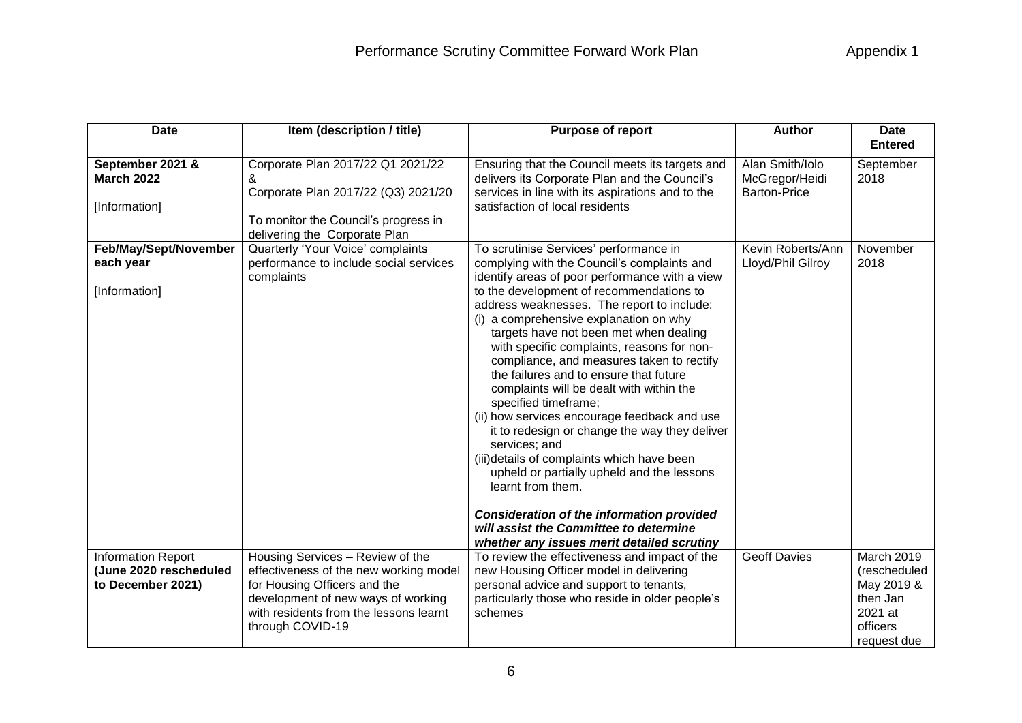| <b>Date</b>                                                              | Item (description / title)                                                                                                                                                                                     | <b>Purpose of report</b>                                                                                                                                                                                                                                                                                                                                                                                                                                                                                                                                                                                                                                                                                                                                           | <b>Author</b>                                            | <b>Date</b><br><b>Entered</b>                                                              |
|--------------------------------------------------------------------------|----------------------------------------------------------------------------------------------------------------------------------------------------------------------------------------------------------------|--------------------------------------------------------------------------------------------------------------------------------------------------------------------------------------------------------------------------------------------------------------------------------------------------------------------------------------------------------------------------------------------------------------------------------------------------------------------------------------------------------------------------------------------------------------------------------------------------------------------------------------------------------------------------------------------------------------------------------------------------------------------|----------------------------------------------------------|--------------------------------------------------------------------------------------------|
|                                                                          |                                                                                                                                                                                                                |                                                                                                                                                                                                                                                                                                                                                                                                                                                                                                                                                                                                                                                                                                                                                                    |                                                          |                                                                                            |
| September 2021 &<br><b>March 2022</b><br>[Information]                   | Corporate Plan 2017/22 Q1 2021/22<br>&<br>Corporate Plan 2017/22 (Q3) 2021/20<br>To monitor the Council's progress in<br>delivering the Corporate Plan                                                         | Ensuring that the Council meets its targets and<br>delivers its Corporate Plan and the Council's<br>services in line with its aspirations and to the<br>satisfaction of local residents                                                                                                                                                                                                                                                                                                                                                                                                                                                                                                                                                                            | Alan Smith/Iolo<br>McGregor/Heidi<br><b>Barton-Price</b> | September<br>2018                                                                          |
| Feb/May/Sept/November                                                    | Quarterly 'Your Voice' complaints                                                                                                                                                                              | To scrutinise Services' performance in                                                                                                                                                                                                                                                                                                                                                                                                                                                                                                                                                                                                                                                                                                                             | Kevin Roberts/Ann                                        | November                                                                                   |
| each year                                                                | performance to include social services<br>complaints                                                                                                                                                           | complying with the Council's complaints and<br>identify areas of poor performance with a view                                                                                                                                                                                                                                                                                                                                                                                                                                                                                                                                                                                                                                                                      | Lloyd/Phil Gilroy                                        | 2018                                                                                       |
| [Information]                                                            |                                                                                                                                                                                                                | to the development of recommendations to<br>address weaknesses. The report to include:<br>(i) a comprehensive explanation on why<br>targets have not been met when dealing<br>with specific complaints, reasons for non-<br>compliance, and measures taken to rectify<br>the failures and to ensure that future<br>complaints will be dealt with within the<br>specified timeframe;<br>(ii) how services encourage feedback and use<br>it to redesign or change the way they deliver<br>services; and<br>(iii)details of complaints which have been<br>upheld or partially upheld and the lessons<br>learnt from them.<br><b>Consideration of the information provided</b><br>will assist the Committee to determine<br>whether any issues merit detailed scrutiny |                                                          |                                                                                            |
| <b>Information Report</b><br>(June 2020 rescheduled<br>to December 2021) | Housing Services - Review of the<br>effectiveness of the new working model<br>for Housing Officers and the<br>development of new ways of working<br>with residents from the lessons learnt<br>through COVID-19 | To review the effectiveness and impact of the<br>new Housing Officer model in delivering<br>personal advice and support to tenants,<br>particularly those who reside in older people's<br>schemes                                                                                                                                                                                                                                                                                                                                                                                                                                                                                                                                                                  | <b>Geoff Davies</b>                                      | March 2019<br>(rescheduled<br>May 2019 &<br>then Jan<br>2021 at<br>officers<br>request due |